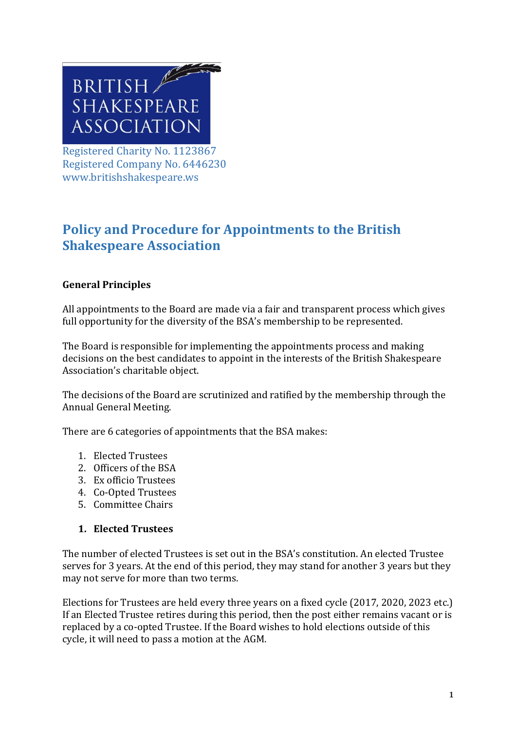

Registered Charity No. 1123867 Registered Company No. 6446230 www.britishshakespeare.ws

# **Policy and Procedure for Appointments to the British Shakespeare Association**

## **General Principles**

All appointments to the Board are made via a fair and transparent process which gives full opportunity for the diversity of the BSA's membership to be represented.

The Board is responsible for implementing the appointments process and making decisions on the best candidates to appoint in the interests of the British Shakespeare Association's charitable object.

The decisions of the Board are scrutinized and ratified by the membership through the Annual General Meeting.

There are 6 categories of appointments that the BSA makes:

- 1. Elected Trustees
- 2. Officers of the BSA
- 3. Ex officio Trustees
- 4. Co-Opted Trustees
- 5. Committee Chairs

#### **1. Elected Trustees**

The number of elected Trustees is set out in the BSA's constitution. An elected Trustee serves for 3 years. At the end of this period, they may stand for another 3 years but they may not serve for more than two terms.

Elections for Trustees are held every three years on a fixed cycle (2017, 2020, 2023 etc.) If an Elected Trustee retires during this period, then the post either remains vacant or is replaced by a co-opted Trustee. If the Board wishes to hold elections outside of this cycle, it will need to pass a motion at the AGM.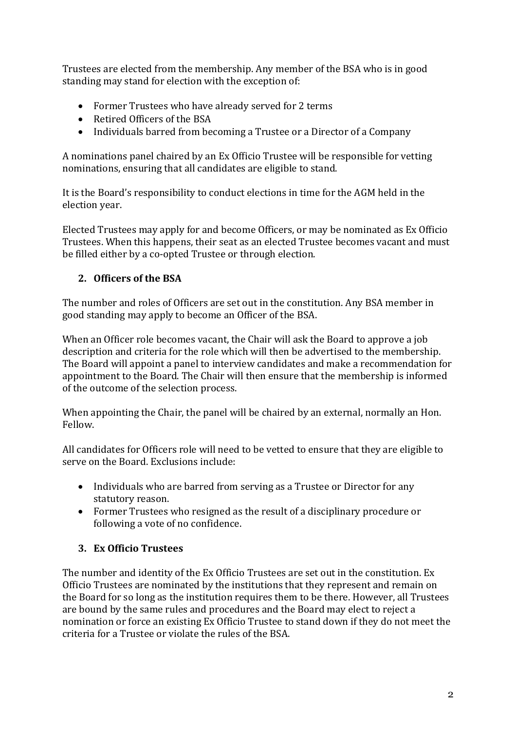Trustees are elected from the membership. Any member of the BSA who is in good standing may stand for election with the exception of:

- Former Trustees who have already served for 2 terms
- Retired Officers of the BSA
- Individuals barred from becoming a Trustee or a Director of a Company

A nominations panel chaired by an Ex Officio Trustee will be responsible for vetting nominations, ensuring that all candidates are eligible to stand.

It is the Board's responsibility to conduct elections in time for the AGM held in the election year.

Elected Trustees may apply for and become Officers, or may be nominated as Ex Officio Trustees. When this happens, their seat as an elected Trustee becomes vacant and must be filled either by a co-opted Trustee or through election.

## **2. Officers of the BSA**

The number and roles of Officers are set out in the constitution. Any BSA member in good standing may apply to become an Officer of the BSA.

When an Officer role becomes vacant, the Chair will ask the Board to approve a job description and criteria for the role which will then be advertised to the membership. The Board will appoint a panel to interview candidates and make a recommendation for appointment to the Board. The Chair will then ensure that the membership is informed of the outcome of the selection process.

When appointing the Chair, the panel will be chaired by an external, normally an Hon. Fellow.

All candidates for Officers role will need to be vetted to ensure that they are eligible to serve on the Board. Exclusions include:

- Individuals who are barred from serving as a Trustee or Director for any statutory reason.
- Former Trustees who resigned as the result of a disciplinary procedure or following a vote of no confidence.

#### **3. Ex Officio Trustees**

The number and identity of the Ex Officio Trustees are set out in the constitution. Ex Officio Trustees are nominated by the institutions that they represent and remain on the Board for so long as the institution requires them to be there. However, all Trustees are bound by the same rules and procedures and the Board may elect to reject a nomination or force an existing Ex Officio Trustee to stand down if they do not meet the criteria for a Trustee or violate the rules of the BSA.